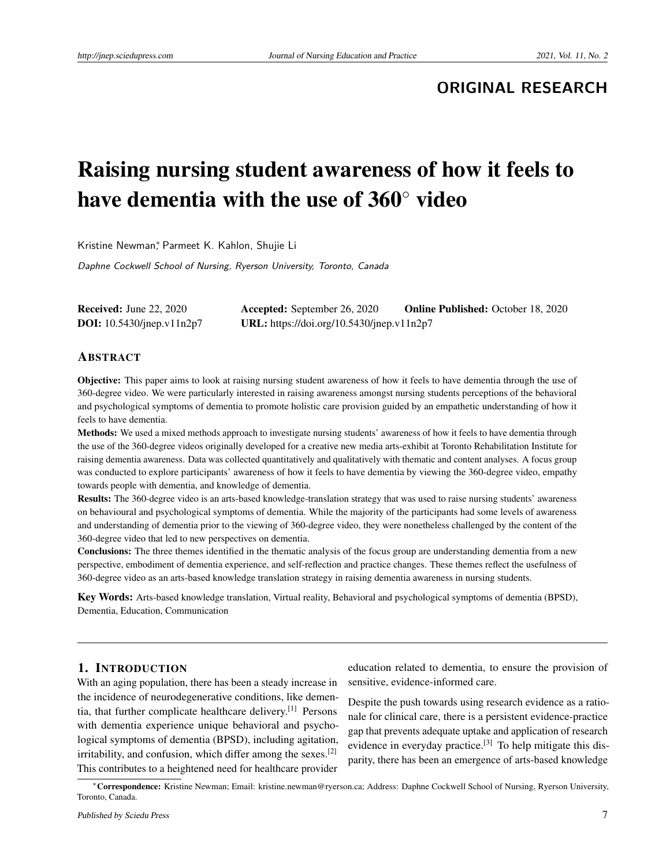**ORIGINAL RESEARCH**

# Raising nursing student awareness of how it feels to have dementia with the use of 360◦ video

Kristine Newman<sup>\*</sup>, Parmeet K. Kahlon, Shujie Li

Daphne Cockwell School of Nursing, Ryerson University, Toronto, Canada

| <b>Received:</b> June 22, 2020      | Accepted: September 26, 2020              | <b>Online Published:</b> October 18, 2020 |
|-------------------------------------|-------------------------------------------|-------------------------------------------|
| <b>DOI:</b> $10.5430$ /jnep.v11n2p7 | URL: https://doi.org/10.5430/jnep.v11n2p7 |                                           |

## ABSTRACT

Objective: This paper aims to look at raising nursing student awareness of how it feels to have dementia through the use of 360-degree video. We were particularly interested in raising awareness amongst nursing students perceptions of the behavioral and psychological symptoms of dementia to promote holistic care provision guided by an empathetic understanding of how it feels to have dementia.

Methods: We used a mixed methods approach to investigate nursing students' awareness of how it feels to have dementia through the use of the 360-degree videos originally developed for a creative new media arts-exhibit at Toronto Rehabilitation Institute for raising dementia awareness. Data was collected quantitatively and qualitatively with thematic and content analyses. A focus group was conducted to explore participants' awareness of how it feels to have dementia by viewing the 360-degree video, empathy towards people with dementia, and knowledge of dementia.

Results: The 360-degree video is an arts-based knowledge-translation strategy that was used to raise nursing students' awareness on behavioural and psychological symptoms of dementia. While the majority of the participants had some levels of awareness and understanding of dementia prior to the viewing of 360-degree video, they were nonetheless challenged by the content of the 360-degree video that led to new perspectives on dementia.

Conclusions: The three themes identified in the thematic analysis of the focus group are understanding dementia from a new perspective, embodiment of dementia experience, and self-reflection and practice changes. These themes reflect the usefulness of 360-degree video as an arts-based knowledge translation strategy in raising dementia awareness in nursing students.

Key Words: Arts-based knowledge translation, Virtual reality, Behavioral and psychological symptoms of dementia (BPSD), Dementia, Education, Communication

# 1. INTRODUCTION

With an aging population, there has been a steady increase in the incidence of neurodegenerative conditions, like dementia, that further complicate healthcare delivery.[\[1\]](#page-5-0) Persons with dementia experience unique behavioral and psychological symptoms of dementia (BPSD), including agitation, irritability, and confusion, which differ among the sexes.<sup>[\[2\]](#page-5-1)</sup> This contributes to a heightened need for healthcare provider

education related to dementia, to ensure the provision of sensitive, evidence-informed care.

Despite the push towards using research evidence as a rationale for clinical care, there is a persistent evidence-practice gap that prevents adequate uptake and application of research evidence in everyday practice.<sup>[\[3\]](#page-5-2)</sup> To help mitigate this disparity, there has been an emergence of arts-based knowledge

<sup>∗</sup>Correspondence: Kristine Newman; Email: kristine.newman@ryerson.ca; Address: Daphne Cockwell School of Nursing, Ryerson University, Toronto, Canada.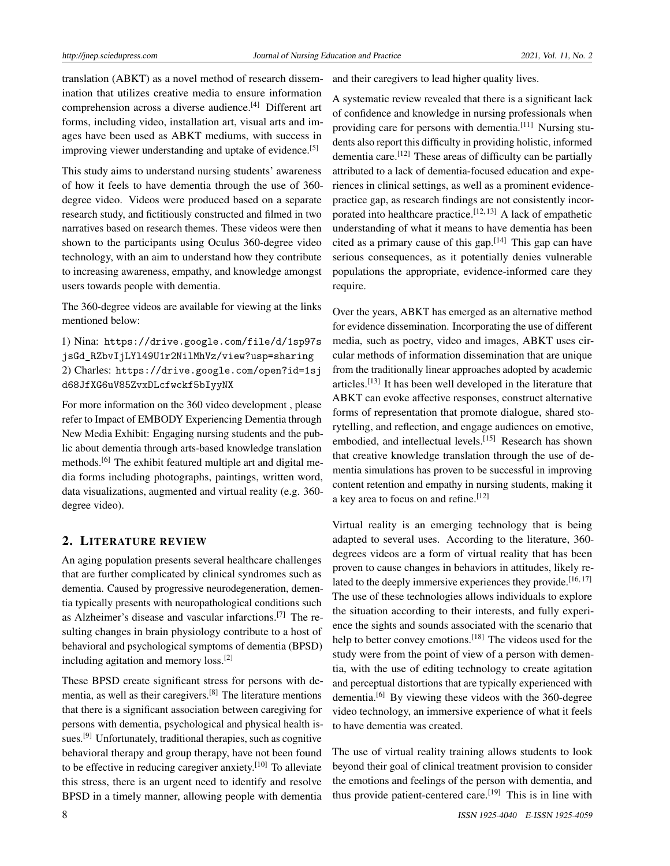translation (ABKT) as a novel method of research dissemination that utilizes creative media to ensure information comprehension across a diverse audience.[\[4\]](#page-5-3) Different art forms, including video, installation art, visual arts and images have been used as ABKT mediums, with success in improving viewer understanding and uptake of evidence.<sup>[\[5\]](#page-5-4)</sup>

This study aims to understand nursing students' awareness of how it feels to have dementia through the use of 360 degree video. Videos were produced based on a separate research study, and fictitiously constructed and filmed in two narratives based on research themes. These videos were then shown to the participants using Oculus 360-degree video technology, with an aim to understand how they contribute to increasing awareness, empathy, and knowledge amongst users towards people with dementia.

The 360-degree videos are available for viewing at the links mentioned below:

1) Nina: [https://drive.google.com/file/d/1sp97s](https://drive.google.com/file/d/1sp97sjsGd_RZbvIjLYl49U1r2NilMhVz/view?usp=sharing) [jsGd\\_RZbvIjLYl49U1r2NilMhVz/view?usp=sharing](https://drive.google.com/file/d/1sp97sjsGd_RZbvIjLYl49U1r2NilMhVz/view?usp=sharing) 2) Charles: [https://drive.google.com/open?id=1sj](https://drive.google.com/open?id=1sjd68JfXG6uV85ZvxDLcfwckf5bIyyNX) [d68JfXG6uV85ZvxDLcfwckf5bIyyNX](https://drive.google.com/open?id=1sjd68JfXG6uV85ZvxDLcfwckf5bIyyNX)

For more information on the 360 video development , please refer to Impact of EMBODY Experiencing Dementia through New Media Exhibit: Engaging nursing students and the public about dementia through arts-based knowledge translation methods.<sup>[\[6\]](#page-5-5)</sup> The exhibit featured multiple art and digital media forms including photographs, paintings, written word, data visualizations, augmented and virtual reality (e.g. 360 degree video).

# 2. LITERATURE REVIEW

An aging population presents several healthcare challenges that are further complicated by clinical syndromes such as dementia. Caused by progressive neurodegeneration, dementia typically presents with neuropathological conditions such as Alzheimer's disease and vascular infarctions.[\[7\]](#page-5-6) The resulting changes in brain physiology contribute to a host of behavioral and psychological symptoms of dementia (BPSD) including agitation and memory loss.[\[2\]](#page-5-1)

These BPSD create significant stress for persons with dementia, as well as their caregivers.[\[8\]](#page-5-7) The literature mentions that there is a significant association between caregiving for persons with dementia, psychological and physical health issues.[\[9\]](#page-5-8) Unfortunately, traditional therapies, such as cognitive behavioral therapy and group therapy, have not been found to be effective in reducing caregiver anxiety.<sup>[\[10\]](#page-5-9)</sup> To alleviate this stress, there is an urgent need to identify and resolve BPSD in a timely manner, allowing people with dementia

and their caregivers to lead higher quality lives.

A systematic review revealed that there is a significant lack of confidence and knowledge in nursing professionals when providing care for persons with dementia.<sup>[\[11\]](#page-5-10)</sup> Nursing students also report this difficulty in providing holistic, informed dementia care.<sup>[\[12\]](#page-5-11)</sup> These areas of difficulty can be partially attributed to a lack of dementia-focused education and experiences in clinical settings, as well as a prominent evidencepractice gap, as research findings are not consistently incor-porated into healthcare practice.<sup>[\[12,](#page-5-11) [13\]](#page-5-12)</sup> A lack of empathetic understanding of what it means to have dementia has been cited as a primary cause of this gap.<sup>[\[14\]](#page-5-13)</sup> This gap can have serious consequences, as it potentially denies vulnerable populations the appropriate, evidence-informed care they require.

Over the years, ABKT has emerged as an alternative method for evidence dissemination. Incorporating the use of different media, such as poetry, video and images, ABKT uses circular methods of information dissemination that are unique from the traditionally linear approaches adopted by academic articles.<sup>[\[13\]](#page-5-12)</sup> It has been well developed in the literature that ABKT can evoke affective responses, construct alternative forms of representation that promote dialogue, shared storytelling, and reflection, and engage audiences on emotive, embodied, and intellectual levels.<sup>[\[15\]](#page-5-14)</sup> Research has shown that creative knowledge translation through the use of dementia simulations has proven to be successful in improving content retention and empathy in nursing students, making it a key area to focus on and refine.<sup>[\[12\]](#page-5-11)</sup>

Virtual reality is an emerging technology that is being adapted to several uses. According to the literature, 360 degrees videos are a form of virtual reality that has been proven to cause changes in behaviors in attitudes, likely re-lated to the deeply immersive experiences they provide.<sup>[\[16,](#page-5-15) [17\]](#page-5-16)</sup> The use of these technologies allows individuals to explore the situation according to their interests, and fully experience the sights and sounds associated with the scenario that help to better convey emotions.<sup>[\[18\]](#page-5-17)</sup> The videos used for the study were from the point of view of a person with dementia, with the use of editing technology to create agitation and perceptual distortions that are typically experienced with dementia.[\[6\]](#page-5-5) By viewing these videos with the 360-degree video technology, an immersive experience of what it feels to have dementia was created.

The use of virtual reality training allows students to look beyond their goal of clinical treatment provision to consider the emotions and feelings of the person with dementia, and thus provide patient-centered care.<sup>[\[19\]](#page-5-18)</sup> This is in line with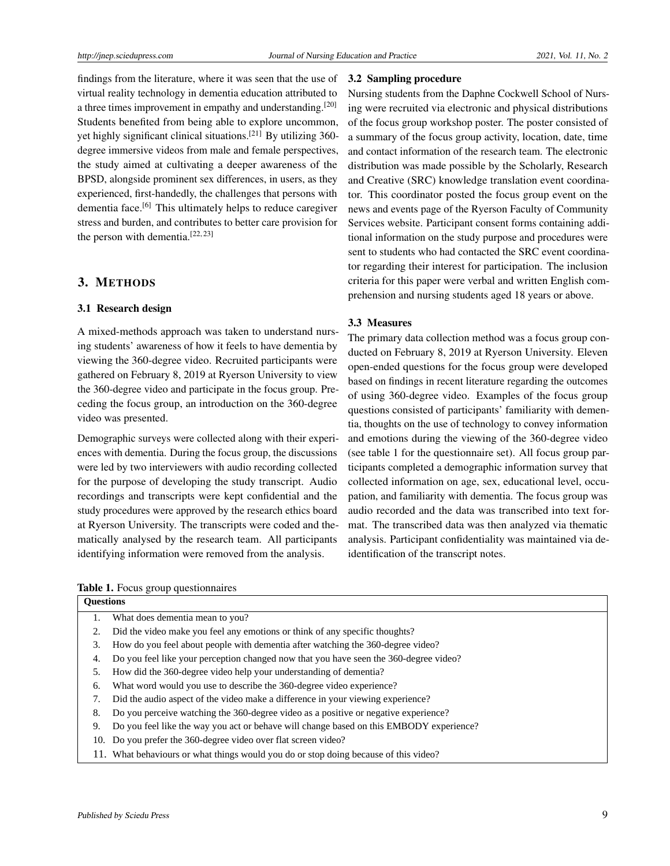findings from the literature, where it was seen that the use of virtual reality technology in dementia education attributed to a three times improvement in empathy and understanding.<sup>[\[20\]](#page-5-19)</sup> Students benefited from being able to explore uncommon, yet highly significant clinical situations.[\[21\]](#page-5-20) By utilizing 360 degree immersive videos from male and female perspectives, the study aimed at cultivating a deeper awareness of the BPSD, alongside prominent sex differences, in users, as they experienced, first-handedly, the challenges that persons with dementia face.[\[6\]](#page-5-5) This ultimately helps to reduce caregiver stress and burden, and contributes to better care provision for the person with dementia. $[22, 23]$  $[22, 23]$  $[22, 23]$ 

## 3. METHODS

## 3.1 Research design

A mixed-methods approach was taken to understand nursing students' awareness of how it feels to have dementia by viewing the 360-degree video. Recruited participants were gathered on February 8, 2019 at Ryerson University to view the 360-degree video and participate in the focus group. Preceding the focus group, an introduction on the 360-degree video was presented.

Demographic surveys were collected along with their experiences with dementia. During the focus group, the discussions were led by two interviewers with audio recording collected for the purpose of developing the study transcript. Audio recordings and transcripts were kept confidential and the study procedures were approved by the research ethics board at Ryerson University. The transcripts were coded and thematically analysed by the research team. All participants identifying information were removed from the analysis.

## 3.2 Sampling procedure

Nursing students from the Daphne Cockwell School of Nursing were recruited via electronic and physical distributions of the focus group workshop poster. The poster consisted of a summary of the focus group activity, location, date, time and contact information of the research team. The electronic distribution was made possible by the Scholarly, Research and Creative (SRC) knowledge translation event coordinator. This coordinator posted the focus group event on the news and events page of the Ryerson Faculty of Community Services website. Participant consent forms containing additional information on the study purpose and procedures were sent to students who had contacted the SRC event coordinator regarding their interest for participation. The inclusion criteria for this paper were verbal and written English comprehension and nursing students aged 18 years or above.

#### 3.3 Measures

The primary data collection method was a focus group conducted on February 8, 2019 at Ryerson University. Eleven open-ended questions for the focus group were developed based on findings in recent literature regarding the outcomes of using 360-degree video. Examples of the focus group questions consisted of participants' familiarity with dementia, thoughts on the use of technology to convey information and emotions during the viewing of the 360-degree video (see table 1 for the questionnaire set). All focus group participants completed a demographic information survey that collected information on age, sex, educational level, occupation, and familiarity with dementia. The focus group was audio recorded and the data was transcribed into text format. The transcribed data was then analyzed via thematic analysis. Participant confidentiality was maintained via deidentification of the transcript notes.

| Table 1. Focus group questionnaires |  |  |  |
|-------------------------------------|--|--|--|
|-------------------------------------|--|--|--|

| <b>Ouestions</b> |                                                                                         |  |
|------------------|-----------------------------------------------------------------------------------------|--|
| 1.               | What does dementia mean to you?                                                         |  |
| 2.               | Did the video make you feel any emotions or think of any specific thoughts?             |  |
| 3.               | How do you feel about people with dementia after watching the 360-degree video?         |  |
| 4.               | Do you feel like your perception changed now that you have seen the 360-degree video?   |  |
| 5.               | How did the 360-degree video help your understanding of dementia?                       |  |
| 6.               | What word would you use to describe the 360-degree video experience?                    |  |
| 7.               | Did the audio aspect of the video make a difference in your viewing experience?         |  |
| 8.               | Do you perceive watching the 360-degree video as a positive or negative experience?     |  |
| 9.               | Do you feel like the way you act or behave will change based on this EMBODY experience? |  |
| 10.              | Do you prefer the 360-degree video over flat screen video?                              |  |
| 11.              | What behaviours or what things would you do or stop doing because of this video?        |  |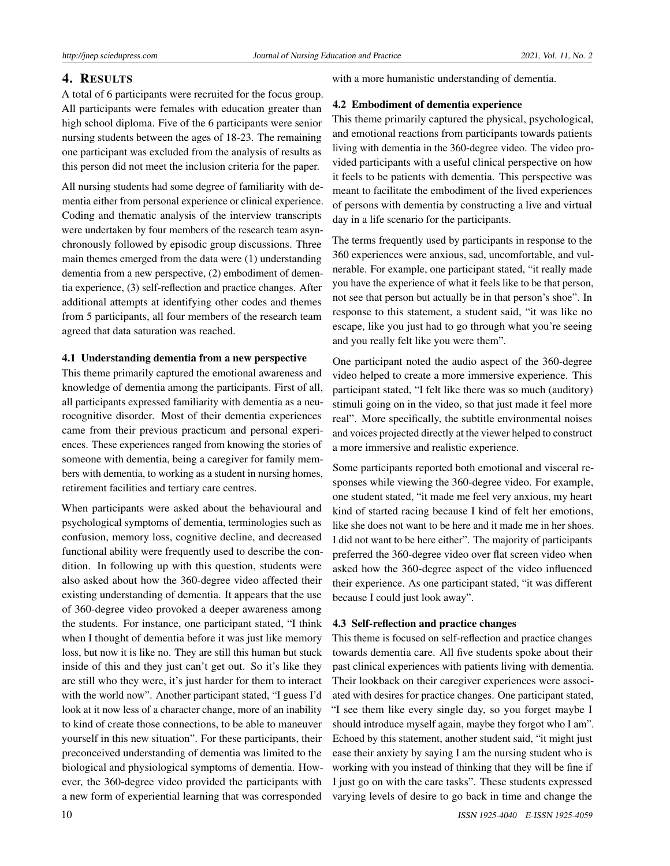# 4. RESULTS

A total of 6 participants were recruited for the focus group. All participants were females with education greater than high school diploma. Five of the 6 participants were senior nursing students between the ages of 18-23. The remaining one participant was excluded from the analysis of results as this person did not meet the inclusion criteria for the paper.

All nursing students had some degree of familiarity with dementia either from personal experience or clinical experience. Coding and thematic analysis of the interview transcripts were undertaken by four members of the research team asynchronously followed by episodic group discussions. Three main themes emerged from the data were (1) understanding dementia from a new perspective, (2) embodiment of dementia experience, (3) self-reflection and practice changes. After additional attempts at identifying other codes and themes from 5 participants, all four members of the research team agreed that data saturation was reached.

# 4.1 Understanding dementia from a new perspective

This theme primarily captured the emotional awareness and knowledge of dementia among the participants. First of all, all participants expressed familiarity with dementia as a neurocognitive disorder. Most of their dementia experiences came from their previous practicum and personal experiences. These experiences ranged from knowing the stories of someone with dementia, being a caregiver for family members with dementia, to working as a student in nursing homes, retirement facilities and tertiary care centres.

When participants were asked about the behavioural and psychological symptoms of dementia, terminologies such as confusion, memory loss, cognitive decline, and decreased functional ability were frequently used to describe the condition. In following up with this question, students were also asked about how the 360-degree video affected their existing understanding of dementia. It appears that the use of 360-degree video provoked a deeper awareness among the students. For instance, one participant stated, "I think when I thought of dementia before it was just like memory loss, but now it is like no. They are still this human but stuck inside of this and they just can't get out. So it's like they are still who they were, it's just harder for them to interact with the world now". Another participant stated, "I guess I'd look at it now less of a character change, more of an inability to kind of create those connections, to be able to maneuver yourself in this new situation". For these participants, their preconceived understanding of dementia was limited to the biological and physiological symptoms of dementia. However, the 360-degree video provided the participants with a new form of experiential learning that was corresponded

with a more humanistic understanding of dementia.

## 4.2 Embodiment of dementia experience

This theme primarily captured the physical, psychological, and emotional reactions from participants towards patients living with dementia in the 360-degree video. The video provided participants with a useful clinical perspective on how it feels to be patients with dementia. This perspective was meant to facilitate the embodiment of the lived experiences of persons with dementia by constructing a live and virtual day in a life scenario for the participants.

The terms frequently used by participants in response to the 360 experiences were anxious, sad, uncomfortable, and vulnerable. For example, one participant stated, "it really made you have the experience of what it feels like to be that person, not see that person but actually be in that person's shoe". In response to this statement, a student said, "it was like no escape, like you just had to go through what you're seeing and you really felt like you were them".

One participant noted the audio aspect of the 360-degree video helped to create a more immersive experience. This participant stated, "I felt like there was so much (auditory) stimuli going on in the video, so that just made it feel more real". More specifically, the subtitle environmental noises and voices projected directly at the viewer helped to construct a more immersive and realistic experience.

Some participants reported both emotional and visceral responses while viewing the 360-degree video. For example, one student stated, "it made me feel very anxious, my heart kind of started racing because I kind of felt her emotions, like she does not want to be here and it made me in her shoes. I did not want to be here either". The majority of participants preferred the 360-degree video over flat screen video when asked how the 360-degree aspect of the video influenced their experience. As one participant stated, "it was different because I could just look away".

#### 4.3 Self-reflection and practice changes

This theme is focused on self-reflection and practice changes towards dementia care. All five students spoke about their past clinical experiences with patients living with dementia. Their lookback on their caregiver experiences were associated with desires for practice changes. One participant stated, "I see them like every single day, so you forget maybe I should introduce myself again, maybe they forgot who I am". Echoed by this statement, another student said, "it might just ease their anxiety by saying I am the nursing student who is working with you instead of thinking that they will be fine if I just go on with the care tasks". These students expressed varying levels of desire to go back in time and change the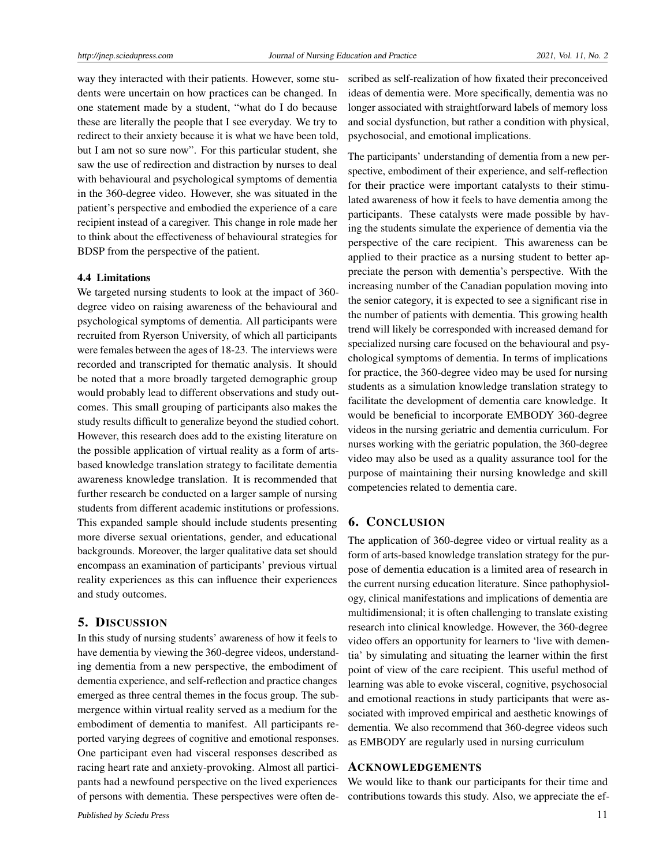way they interacted with their patients. However, some students were uncertain on how practices can be changed. In one statement made by a student, "what do I do because these are literally the people that I see everyday. We try to redirect to their anxiety because it is what we have been told, but I am not so sure now". For this particular student, she saw the use of redirection and distraction by nurses to deal with behavioural and psychological symptoms of dementia in the 360-degree video. However, she was situated in the patient's perspective and embodied the experience of a care recipient instead of a caregiver. This change in role made her to think about the effectiveness of behavioural strategies for BDSP from the perspective of the patient.

## 4.4 Limitations

We targeted nursing students to look at the impact of 360 degree video on raising awareness of the behavioural and psychological symptoms of dementia. All participants were recruited from Ryerson University, of which all participants were females between the ages of 18-23. The interviews were recorded and transcripted for thematic analysis. It should be noted that a more broadly targeted demographic group would probably lead to different observations and study outcomes. This small grouping of participants also makes the study results difficult to generalize beyond the studied cohort. However, this research does add to the existing literature on the possible application of virtual reality as a form of artsbased knowledge translation strategy to facilitate dementia awareness knowledge translation. It is recommended that further research be conducted on a larger sample of nursing students from different academic institutions or professions. This expanded sample should include students presenting more diverse sexual orientations, gender, and educational backgrounds. Moreover, the larger qualitative data set should encompass an examination of participants' previous virtual reality experiences as this can influence their experiences and study outcomes.

## 5. DISCUSSION

In this study of nursing students' awareness of how it feels to have dementia by viewing the 360-degree videos, understanding dementia from a new perspective, the embodiment of dementia experience, and self-reflection and practice changes emerged as three central themes in the focus group. The submergence within virtual reality served as a medium for the embodiment of dementia to manifest. All participants reported varying degrees of cognitive and emotional responses. One participant even had visceral responses described as racing heart rate and anxiety-provoking. Almost all participants had a newfound perspective on the lived experiences of persons with dementia. These perspectives were often described as self-realization of how fixated their preconceived ideas of dementia were. More specifically, dementia was no longer associated with straightforward labels of memory loss and social dysfunction, but rather a condition with physical, psychosocial, and emotional implications.

The participants' understanding of dementia from a new perspective, embodiment of their experience, and self-reflection for their practice were important catalysts to their stimulated awareness of how it feels to have dementia among the participants. These catalysts were made possible by having the students simulate the experience of dementia via the perspective of the care recipient. This awareness can be applied to their practice as a nursing student to better appreciate the person with dementia's perspective. With the increasing number of the Canadian population moving into the senior category, it is expected to see a significant rise in the number of patients with dementia. This growing health trend will likely be corresponded with increased demand for specialized nursing care focused on the behavioural and psychological symptoms of dementia. In terms of implications for practice, the 360-degree video may be used for nursing students as a simulation knowledge translation strategy to facilitate the development of dementia care knowledge. It would be beneficial to incorporate EMBODY 360-degree videos in the nursing geriatric and dementia curriculum. For nurses working with the geriatric population, the 360-degree video may also be used as a quality assurance tool for the purpose of maintaining their nursing knowledge and skill competencies related to dementia care.

# 6. CONCLUSION

The application of 360-degree video or virtual reality as a form of arts-based knowledge translation strategy for the purpose of dementia education is a limited area of research in the current nursing education literature. Since pathophysiology, clinical manifestations and implications of dementia are multidimensional; it is often challenging to translate existing research into clinical knowledge. However, the 360-degree video offers an opportunity for learners to 'live with dementia' by simulating and situating the learner within the first point of view of the care recipient. This useful method of learning was able to evoke visceral, cognitive, psychosocial and emotional reactions in study participants that were associated with improved empirical and aesthetic knowings of dementia. We also recommend that 360-degree videos such as EMBODY are regularly used in nursing curriculum

## ACKNOWLEDGEMENTS

We would like to thank our participants for their time and contributions towards this study. Also, we appreciate the ef